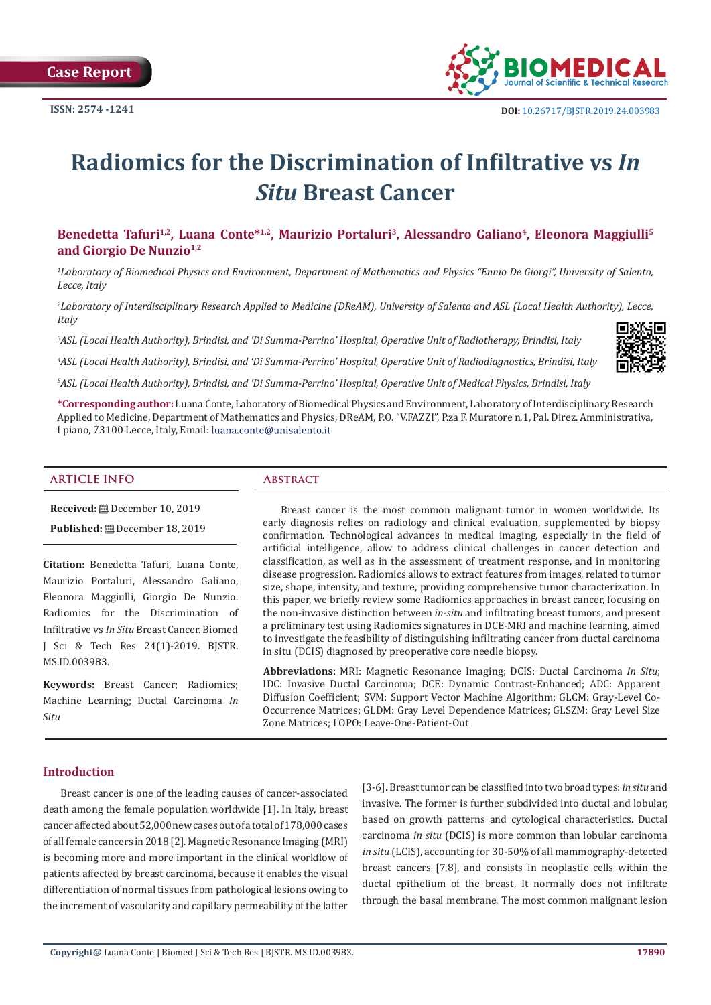

# **Radiomics for the Discrimination of Infiltrative vs** *In Situ* **Breast Cancer**

**Benedetta Tafuri1,2, Luana Conte\*1,2, Maurizio Portaluri<sup>3</sup>, Alessandro Galiano<sup>4</sup>, Eleonora Maggiulli<sup>5</sup> and Giorgio De Nunzio1,2**

*1 Laboratory of Biomedical Physics and Environment, Department of Mathematics and Physics "Ennio De Giorgi", University of Salento, Lecce, Italy*

*2 Laboratory of Interdisciplinary Research Applied to Medicine (DReAM), University of Salento and ASL (Local Health Authority), Lecce, Italy*

*3 ASL (Local Health Authority), Brindisi, and 'Di Summa-Perrino' Hospital, Operative Unit of Radiotherapy, Brindisi, Italy*

*4 ASL (Local Health Authority), Brindisi, and 'Di Summa-Perrino' Hospital, Operative Unit of Radiodiagnostics, Brindisi, Italy*

*5 ASL (Local Health Authority), Brindisi, and 'Di Summa-Perrino' Hospital, Operative Unit of Medical Physics, Brindisi, Italy*

**\*Corresponding author:** Luana Conte, Laboratory of Biomedical Physics and Environment, Laboratory of Interdisciplinary Research Applied to Medicine, Department of Mathematics and Physics, DReAM, P.O. "V.FAZZI", P.za F. Muratore n.1, Pal. Direz. Amministrativa, I piano, 73100 Lecce, Italy, Email: luana.conte@unisalento.it

#### **ARTICLE INFO Abstract**

**Received:** December 10, 2019

**Published:** December 18, 2019

**Citation:** Benedetta Tafuri, Luana Conte, Maurizio Portaluri, Alessandro Galiano, Eleonora Maggiulli, Giorgio De Nunzio. Radiomics for the Discrimination of Infiltrative vs *In Situ* Breast Cancer. Biomed J Sci & Tech Res 24(1)-2019. BJSTR. MS.ID.003983.

**Keywords:** Breast Cancer; Radiomics; Machine Learning; Ductal Carcinoma *In Situ*

Breast cancer is the most common malignant tumor in women worldwide. Its early diagnosis relies on radiology and clinical evaluation, supplemented by biopsy confirmation. Technological advances in medical imaging, especially in the field of artificial intelligence, allow to address clinical challenges in cancer detection and classification, as well as in the assessment of treatment response, and in monitoring disease progression. Radiomics allows to extract features from images, related to tumor size, shape, intensity, and texture, providing comprehensive tumor characterization. In this paper, we briefly review some Radiomics approaches in breast cancer, focusing on the non-invasive distinction between *in-situ* and infiltrating breast tumors, and present a preliminary test using Radiomics signatures in DCE-MRI and machine learning, aimed to investigate the feasibility of distinguishing infiltrating cancer from ductal carcinoma in situ (DCIS) diagnosed by preoperative core needle biopsy.

**Abbreviations:** MRI: Magnetic Resonance Imaging; DCIS: Ductal Carcinoma *In Situ*; IDC: Invasive Ductal Carcinoma; DCE: Dynamic Contrast-Enhanced; ADC: Apparent Diffusion Coefficient; SVM: Support Vector Machine Algorithm; GLCM: Gray-Level Co-Occurrence Matrices; GLDM: Gray Level Dependence Matrices; GLSZM: Gray Level Size Zone Matrices; LOPO: Leave-One-Patient-Out

# **Introduction**

Breast cancer is one of the leading causes of cancer-associated death among the female population worldwide [1]. In Italy, breast cancer affected about 52,000 new cases out of a total of 178,000 cases of all female cancers in 2018 [2]. Magnetic Resonance Imaging (MRI) is becoming more and more important in the clinical workflow of patients affected by breast carcinoma, because it enables the visual differentiation of normal tissues from pathological lesions owing to the increment of vascularity and capillary permeability of the latter

[3-6]**.** Breast tumor can be classified into two broad types: *in situ* and invasive. The former is further subdivided into ductal and lobular, based on growth patterns and cytological characteristics. Ductal carcinoma *in situ* (DCIS) is more common than lobular carcinoma *in situ* (LCIS), accounting for 30-50% of all mammography-detected breast cancers [7,8], and consists in neoplastic cells within the ductal epithelium of the breast. It normally does not infiltrate through the basal membrane. The most common malignant lesion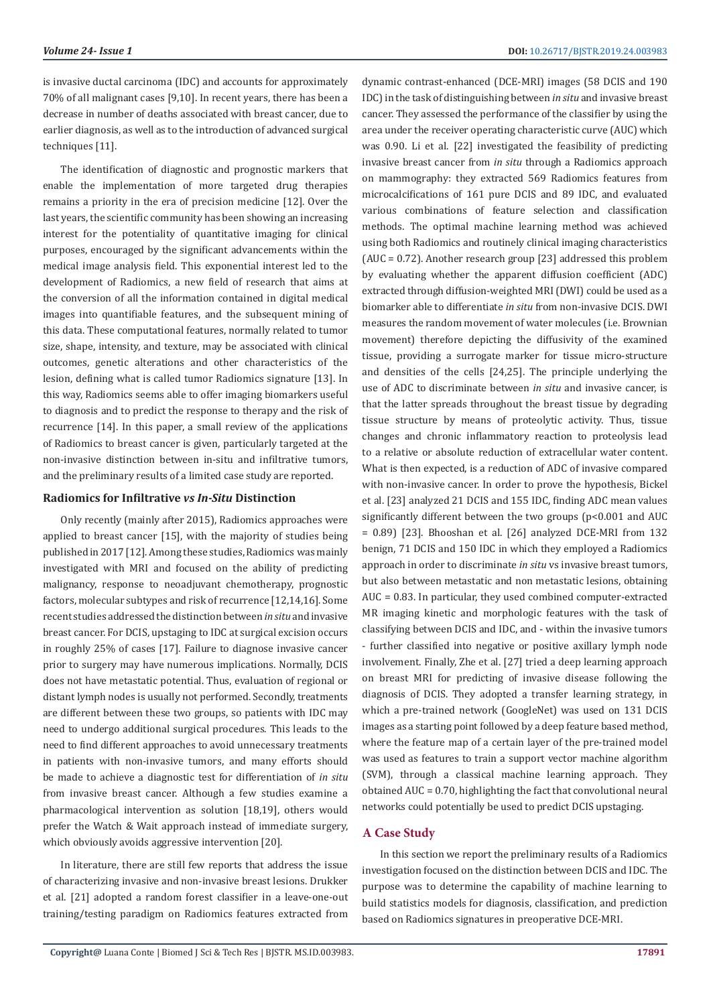is invasive ductal carcinoma (IDC) and accounts for approximately 70% of all malignant cases [9,10]. In recent years, there has been a decrease in number of deaths associated with breast cancer, due to earlier diagnosis, as well as to the introduction of advanced surgical techniques [11].

The identification of diagnostic and prognostic markers that enable the implementation of more targeted drug therapies remains a priority in the era of precision medicine [12]. Over the last years, the scientific community has been showing an increasing interest for the potentiality of quantitative imaging for clinical purposes, encouraged by the significant advancements within the medical image analysis field. This exponential interest led to the development of Radiomics, a new field of research that aims at the conversion of all the information contained in digital medical images into quantifiable features, and the subsequent mining of this data. These computational features, normally related to tumor size, shape, intensity, and texture, may be associated with clinical outcomes, genetic alterations and other characteristics of the lesion, defining what is called tumor Radiomics signature [13]. In this way, Radiomics seems able to offer imaging biomarkers useful to diagnosis and to predict the response to therapy and the risk of recurrence [14]. In this paper, a small review of the applications of Radiomics to breast cancer is given, particularly targeted at the non-invasive distinction between in-situ and infiltrative tumors, and the preliminary results of a limited case study are reported.

# **Radiomics for Infiltrative** *vs In-Situ* **Distinction**

Only recently (mainly after 2015), Radiomics approaches were applied to breast cancer [15], with the majority of studies being published in 2017 [12]. Among these studies, Radiomics was mainly investigated with MRI and focused on the ability of predicting malignancy, response to neoadjuvant chemotherapy, prognostic factors, molecular subtypes and risk of recurrence [12,14,16]. Some recent studies addressed the distinction between *in situ* and invasive breast cancer. For DCIS, upstaging to IDC at surgical excision occurs in roughly 25% of cases [17]. Failure to diagnose invasive cancer prior to surgery may have numerous implications. Normally, DCIS does not have metastatic potential. Thus, evaluation of regional or distant lymph nodes is usually not performed. Secondly, treatments are different between these two groups, so patients with IDC may need to undergo additional surgical procedures. This leads to the need to find different approaches to avoid unnecessary treatments in patients with non-invasive tumors, and many efforts should be made to achieve a diagnostic test for differentiation of *in situ* from invasive breast cancer. Although a few studies examine a pharmacological intervention as solution [18,19], others would prefer the Watch & Wait approach instead of immediate surgery, which obviously avoids aggressive intervention [20].

In literature, there are still few reports that address the issue of characterizing invasive and non-invasive breast lesions. Drukker et al. [21] adopted a random forest classifier in a leave-one-out training/testing paradigm on Radiomics features extracted from dynamic contrast-enhanced (DCE-MRI) images (58 DCIS and 190 IDC) in the task of distinguishing between *in situ* and invasive breast cancer. They assessed the performance of the classifier by using the area under the receiver operating characteristic curve (AUC) which was 0.90. Li et al. [22] investigated the feasibility of predicting invasive breast cancer from *in situ* through a Radiomics approach on mammography: they extracted 569 Radiomics features from microcalcifications of 161 pure DCIS and 89 IDC, and evaluated various combinations of feature selection and classification methods. The optimal machine learning method was achieved using both Radiomics and routinely clinical imaging characteristics (AUC = 0.72). Another research group [23] addressed this problem by evaluating whether the apparent diffusion coefficient (ADC) extracted through diffusion-weighted MRI (DWI) could be used as a biomarker able to differentiate *in situ* from non-invasive DCIS. DWI measures the random movement of water molecules (i.e. Brownian movement) therefore depicting the diffusivity of the examined tissue, providing a surrogate marker for tissue micro-structure and densities of the cells [24,25]. The principle underlying the use of ADC to discriminate between *in situ* and invasive cancer, is that the latter spreads throughout the breast tissue by degrading tissue structure by means of proteolytic activity. Thus, tissue changes and chronic inflammatory reaction to proteolysis lead to a relative or absolute reduction of extracellular water content. What is then expected, is a reduction of ADC of invasive compared with non-invasive cancer. In order to prove the hypothesis, Bickel et al. [23] analyzed 21 DCIS and 155 IDC, finding ADC mean values significantly different between the two groups (p<0.001 and AUC = 0.89) [23]. Bhooshan et al. [26] analyzed DCE-MRI from 132 benign, 71 DCIS and 150 IDC in which they employed a Radiomics approach in order to discriminate *in situ* vs invasive breast tumors, but also between metastatic and non metastatic lesions, obtaining AUC = 0.83. In particular, they used combined computer-extracted MR imaging kinetic and morphologic features with the task of classifying between DCIS and IDC, and - within the invasive tumors - further classified into negative or positive axillary lymph node involvement. Finally, Zhe et al. [27] tried a deep learning approach on breast MRI for predicting of invasive disease following the diagnosis of DCIS. They adopted a transfer learning strategy, in which a pre-trained network (GoogleNet) was used on 131 DCIS images as a starting point followed by a deep feature based method, where the feature map of a certain layer of the pre-trained model was used as features to train a support vector machine algorithm (SVM), through a classical machine learning approach. They obtained AUC = 0.70, highlighting the fact that convolutional neural networks could potentially be used to predict DCIS upstaging.

### **A Case Study**

In this section we report the preliminary results of a Radiomics investigation focused on the distinction between DCIS and IDC. The purpose was to determine the capability of machine learning to build statistics models for diagnosis, classification, and prediction based on Radiomics signatures in preoperative DCE-MRI.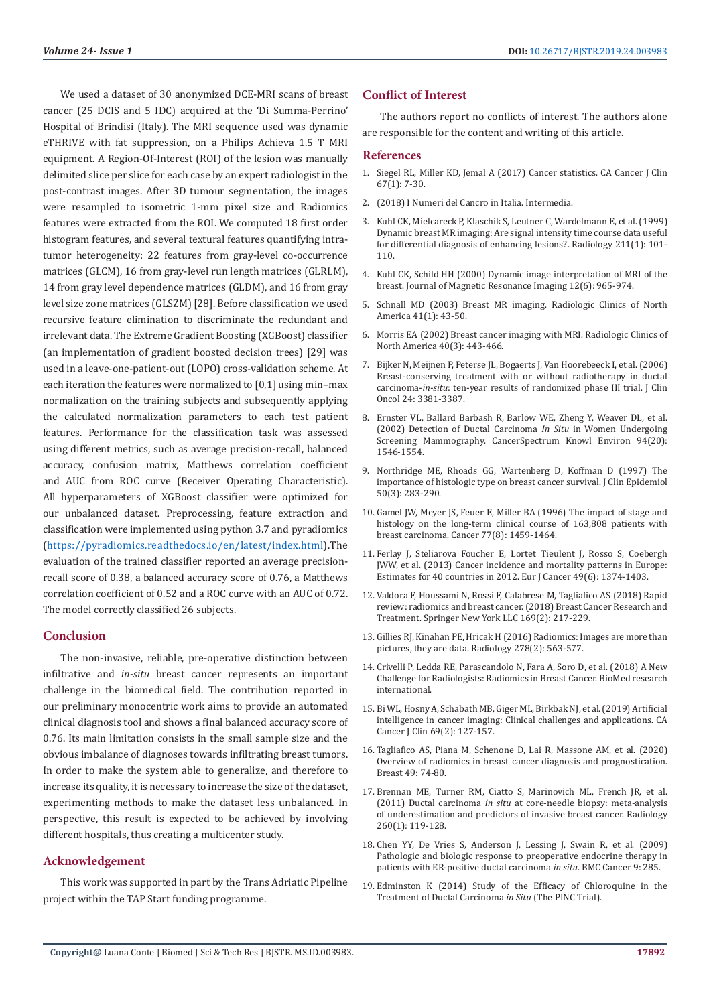We used a dataset of 30 anonymized DCE-MRI scans of breast cancer (25 DCIS and 5 IDC) acquired at the 'Di Summa-Perrino' Hospital of Brindisi (Italy). The MRI sequence used was dynamic eTHRIVE with fat suppression, on a Philips Achieva 1.5 T MRI equipment. A Region-Of-Interest (ROI) of the lesion was manually delimited slice per slice for each case by an expert radiologist in the post-contrast images. After 3D tumour segmentation, the images were resampled to isometric 1-mm pixel size and Radiomics features were extracted from the ROI. We computed 18 first order histogram features, and several textural features quantifying intratumor heterogeneity: 22 features from gray-level co-occurrence matrices (GLCM), 16 from gray-level run length matrices (GLRLM), 14 from gray level dependence matrices (GLDM), and 16 from gray level size zone matrices (GLSZM) [28]. Before classification we used recursive feature elimination to discriminate the redundant and irrelevant data. The Extreme Gradient Boosting (XGBoost) classifier (an implementation of gradient boosted decision trees) [29] was used in a leave-one-patient-out (LOPO) cross-validation scheme. At each iteration the features were normalized to [0,1] using min–max normalization on the training subjects and subsequently applying the calculated normalization parameters to each test patient features. Performance for the classification task was assessed using different metrics, such as average precision-recall, balanced accuracy, confusion matrix, Matthews correlation coefficient and AUC from ROC curve (Receiver Operating Characteristic). All hyperparameters of XGBoost classifier were optimized for our unbalanced dataset. Preprocessing, feature extraction and classification were implemented using python 3.7 and pyradiomics ([https://pyradiomics.readthedocs.io/en/latest/index.html\)](https://pyradiomics.readthedocs.io/en/latest/index.html).The evaluation of the trained classifier reported an average precisionrecall score of 0.38, a balanced accuracy score of 0.76, a Matthews correlation coefficient of 0.52 and a ROC curve with an AUC of 0.72. The model correctly classified 26 subjects.

#### **Conclusion**

The non-invasive, reliable, pre-operative distinction between infiltrative and *in-situ* breast cancer represents an important challenge in the biomedical field. The contribution reported in our preliminary monocentric work aims to provide an automated clinical diagnosis tool and shows a final balanced accuracy score of 0.76. Its main limitation consists in the small sample size and the obvious imbalance of diagnoses towards infiltrating breast tumors. In order to make the system able to generalize, and therefore to increase its quality, it is necessary to increase the size of the dataset, experimenting methods to make the dataset less unbalanced. In perspective, this result is expected to be achieved by involving different hospitals, thus creating a multicenter study.

# **Acknowledgement**

This work was supported in part by the Trans Adriatic Pipeline project within the TAP Start funding programme.

# **Conflict of Interest**

The authors report no conflicts of interest. The authors alone are responsible for the content and writing of this article.

#### **References**

- 1. Siegel RL, Miller KD, Jemal A (2017) Cancer statistics. CA Cancer J Clin 67(1): 7-30.
- 2. (2018) I Numeri del Cancro in Italia. Intermedia.
- 3. Kuhl CK, Mielcareck P, Klaschik S, Leutner C, Wardelmann E, et al. (1999) Dynamic breast MR imaging: Are signal intensity time course data useful for differential diagnosis of enhancing lesions?. Radiology 211(1): 101- 110.
- 4. Kuhl CK, Schild HH (2000) Dynamic image interpretation of MRI of the breast. Journal of Magnetic Resonance Imaging 12(6): 965-974.
- 5. Schnall MD (2003) Breast MR imaging. Radiologic Clinics of North America 41(1): 43-50.
- 6. Morris EA (2002) Breast cancer imaging with MRI. Radiologic Clinics of North America 40(3): 443-466.
- 7. Bijker N, Meijnen P, Peterse JL, Bogaerts J, Van Hoorebeeck I, et al. (2006) Breast-conserving treatment with or without radiotherapy in ductal carcinoma-*in-situ*: ten-year results of randomized phase III trial. J Clin Oncol 24: 3381-3387.
- 8. Ernster VL, Ballard Barbash R, Barlow WE, Zheng Y, Weaver DL, et al. (2002) Detection of Ductal Carcinoma *In Situ* in Women Undergoing Screening Mammography. CancerSpectrum Knowl Environ 94(20): 1546-1554.
- 9. Northridge ME, Rhoads GG, Wartenberg D, Koffman D (1997) The importance of histologic type on breast cancer survival. J Clin Epidemiol 50(3): 283-290.
- 10. Gamel JW, Meyer JS, Feuer E, Miller BA (1996) The impact of stage and histology on the long-term clinical course of 163,808 patients with breast carcinoma. Cancer 77(8): 1459-1464.
- 11. Ferlay J, Steliarova Foucher E, Lortet Tieulent J, Rosso S, Coebergh JWW, et al. (2013) Cancer incidence and mortality patterns in Europe: Estimates for 40 countries in 2012. Eur J Cancer 49(6): 1374-1403.
- 12. Valdora F, Houssami N, Rossi F, Calabrese M, Tagliafico AS (2018) Rapid review: radiomics and breast cancer. (2018) Breast Cancer Research and Treatment. Springer New York LLC 169(2): 217-229.
- 13. Gillies RJ, Kinahan PE, Hricak H (2016) Radiomics: Images are more than pictures, they are data. Radiology 278(2): 563-577.
- 14. Crivelli P, Ledda RE, Parascandolo N, Fara A, Soro D, et al. (2018) A New Challenge for Radiologists: Radiomics in Breast Cancer. BioMed research international.
- 15. Bi WL, Hosny A, Schabath MB, Giger ML, Birkbak NJ, et al. (2019) Artificial intelligence in cancer imaging: Clinical challenges and applications. CA Cancer J Clin 69(2): 127-157.
- 16. Tagliafico AS, Piana M, Schenone D, Lai R, Massone AM, et al. (2020) Overview of radiomics in breast cancer diagnosis and prognostication. Breast 49: 74-80.
- 17. Brennan ME, Turner RM, Ciatto S, Marinovich ML, French JR, et al. (2011) Ductal carcinoma *in situ* at core-needle biopsy: meta-analysis of underestimation and predictors of invasive breast cancer. Radiology 260(1): 119-128.
- 18. Chen YY, De Vries S, Anderson J, Lessing J, Swain R, et al. (2009) Pathologic and biologic response to preoperative endocrine therapy in patients with ER-positive ductal carcinoma *in situ*. BMC Cancer 9: 285.
- 19. Edminston K (2014) Study of the Efficacy of Chloroquine in the Treatment of Ductal Carcinoma *in Situ* (The PINC Trial).